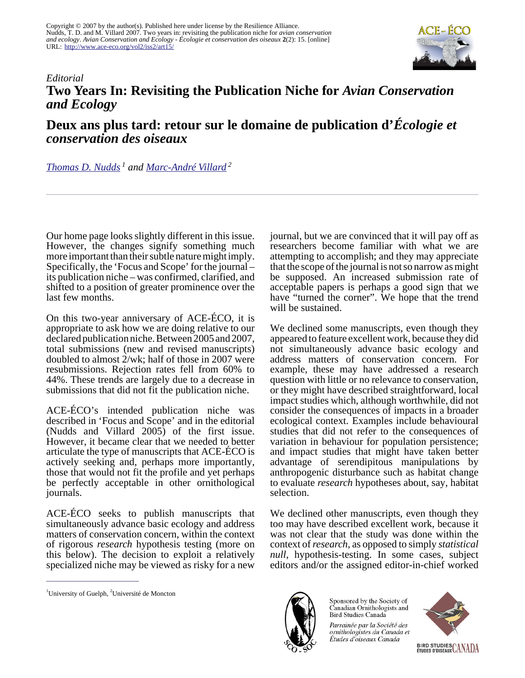Copyright © 2007 by the author(s). Published here under license by the Resilience Alliance. Nudds, T. D. and M. Villard 2007. Two years in: revisiting the publication niche for *avian conservation and ecology*. *Avian Conservation and Ecology - Écologie et conservation des oiseaux* **2**(2): 15. [online] URL: <http://www.ace-eco.org/vol2/iss2/art15/>



## *Editorial* **Two Years In: Revisiting the Publication Niche for** *Avian Conservation and Ecology*

**Deux ans plus tard: retour sur le domaine de publication d'***Écologie et conservation des oiseaux*

## *[Thomas D. Nudds](mailto:tnudds@uoguelph.ca)<sup>1</sup> and [Marc-André Villard](mailto:marc-andre.villard@umoncton.ca)<sup>2</sup>*

Our home page looks slightly different in this issue. However, the changes signify something much more important than their subtle nature might imply. Specifically, the 'Focus and Scope' for the journal – its publication niche – was confirmed, clarified, and shifted to a position of greater prominence over the last few months.

On this two-year anniversary of ACE-ÉCO, it is appropriate to ask how we are doing relative to our declared publication niche. Between 2005 and 2007, total submissions (new and revised manuscripts) doubled to almost 2/wk; half of those in 2007 were resubmissions. Rejection rates fell from 60% to 44%. These trends are largely due to a decrease in submissions that did not fit the publication niche.

ACE-ÉCO's intended publication niche was described in 'Focus and Scope' and in the editorial (Nudds and Villard 2005) of the first issue. However, it became clear that we needed to better articulate the type of manuscripts that ACE-ÉCO is actively seeking and, perhaps more importantly, those that would not fit the profile and yet perhaps be perfectly acceptable in other ornithological journals.

ACE-ÉCO seeks to publish manuscripts that simultaneously advance basic ecology and address matters of conservation concern, within the context of rigorous *research* hypothesis testing (more on this below). The decision to exploit a relatively specialized niche may be viewed as risky for a new

<sup>1</sup>University of Guelph,  ${}^{2}$ Université de Moncton

journal, but we are convinced that it will pay off as researchers become familiar with what we are attempting to accomplish; and they may appreciate that the scope of the journal is not so narrow as might be supposed. An increased submission rate of acceptable papers is perhaps a good sign that we have "turned the corner". We hope that the trend will be sustained.

We declined some manuscripts, even though they appeared to feature excellent work, because they did not simultaneously advance basic ecology and address matters of conservation concern. For example, these may have addressed a research question with little or no relevance to conservation, or they might have described straightforward, local impact studies which, although worthwhile, did not consider the consequences of impacts in a broader ecological context. Examples include behavioural studies that did not refer to the consequences of variation in behaviour for population persistence; and impact studies that might have taken better advantage of serendipitous manipulations by anthropogenic disturbance such as habitat change to evaluate *research* hypotheses about, say, habitat selection.

We declined other manuscripts, even though they too may have described excellent work, because it was not clear that the study was done within the context of *research*, as opposed to simply *statistical null*, hypothesis-testing. In some cases, subject editors and/or the assigned editor-in-chief worked



Canadian Ornithologists and Bird Studies Canada Parrainée par la Société des ornithologistes du Canada et

Études d'oiseaux Canada

Sponsored by the Society of

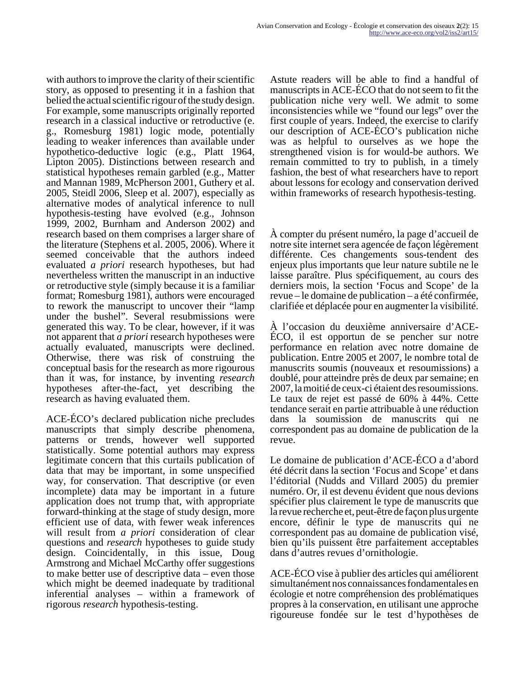with authors to improve the clarity of their scientific story, as opposed to presenting it in a fashion that belied the actual scientific rigour of the study design. For example, some manuscripts originally reported research in a classical inductive or retroductive (e. g., Romesburg 1981) logic mode, potentially leading to weaker inferences than available under hypothetico-deductive logic (e.g., Platt 1964, Lipton 2005). Distinctions between research and statistical hypotheses remain garbled (e.g., Matter and Mannan 1989, McPherson 2001, Guthery et al. 2005, Steidl 2006, Sleep et al. 2007), especially as alternative modes of analytical inference to null hypothesis-testing have evolved (e.g., Johnson 1999, 2002, Burnham and Anderson 2002) and research based on them comprises a larger share of the literature (Stephens et al. 2005, 2006). Where it seemed conceivable that the authors indeed evaluated *a priori* research hypotheses, but had nevertheless written the manuscript in an inductive or retroductive style (simply because it is a familiar format; Romesburg 1981), authors were encouraged to rework the manuscript to uncover their "lamp under the bushel". Several resubmissions were generated this way. To be clear, however, if it was not apparent that *a priori* research hypotheses were actually evaluated, manuscripts were declined. Otherwise, there was risk of construing the conceptual basis for the research as more rigourous than it was, for instance, by inventing *research* hypotheses after-the-fact, yet describing the research as having evaluated them.

ACE-ÉCO's declared publication niche precludes manuscripts that simply describe phenomena, patterns or trends, however well supported statistically. Some potential authors may express legitimate concern that this curtails publication of data that may be important, in some unspecified way, for conservation. That descriptive (or even incomplete) data may be important in a future application does not trump that, with appropriate forward-thinking at the stage of study design, more efficient use of data, with fewer weak inferences will result from *a priori* consideration of clear questions and *research* hypotheses to guide study design. Coincidentally, in this issue, Doug Armstrong and Michael McCarthy offer suggestions to make better use of descriptive data – even those which might be deemed inadequate by traditional inferential analyses – within a framework of rigorous *research* hypothesis-testing.

Astute readers will be able to find a handful of manuscripts in ACE-ÉCO that do not seem to fit the publication niche very well. We admit to some inconsistencies while we "found our legs" over the first couple of years. Indeed, the exercise to clarify our description of ACE-ÉCO's publication niche was as helpful to ourselves as we hope the strengthened vision is for would-be authors. We remain committed to try to publish, in a timely fashion, the best of what researchers have to report about lessons for ecology and conservation derived within frameworks of research hypothesis-testing.

À compter du présent numéro, la page d'accueil de notre site internet sera agencée de façon légèrement différente. Ces changements sous-tendent des enjeux plus importants que leur nature subtile ne le laisse paraître. Plus spécifiquement, au cours des derniers mois, la section 'Focus and Scope' de la revue – le domaine de publication – a été confirmée, clarifiée et déplacée pour en augmenter la visibilité.

À l'occasion du deuxième anniversaire d'ACE-ÉCO, il est opportun de se pencher sur notre performance en relation avec notre domaine de publication. Entre 2005 et 2007, le nombre total de manuscrits soumis (nouveaux et resoumissions) a doublé, pour atteindre près de deux par semaine; en 2007, la moitié de ceux-ci étaient des resoumissions. Le taux de rejet est passé de 60% à 44%. Cette tendance serait en partie attribuable à une réduction dans la soumission de manuscrits qui ne correspondent pas au domaine de publication de la revue.

Le domaine de publication d'ACE-ÉCO a d'abord été décrit dans la section 'Focus and Scope' et dans l'éditorial (Nudds and Villard 2005) du premier numéro. Or, il est devenu évident que nous devions spécifier plus clairement le type de manuscrits que la revue recherche et, peut-être de façon plus urgente encore, définir le type de manuscrits qui ne correspondent pas au domaine de publication visé, bien qu'ils puissent être parfaitement acceptables dans d'autres revues d'ornithologie.

ACE-ÉCO vise à publier des articles qui améliorent simultanément nos connaissances fondamentales en écologie et notre compréhension des problématiques propres à la conservation, en utilisant une approche rigoureuse fondée sur le test d'hypothèses de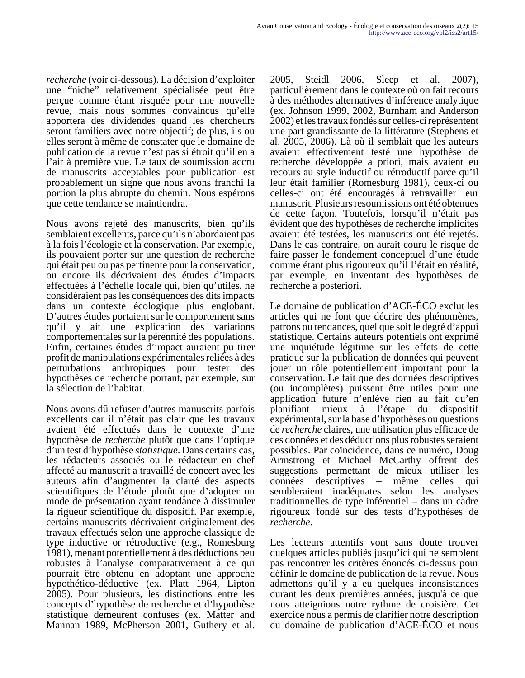*recherche* (voir ci-dessous). La décision d'exploiter une "niche" relativement spécialisée peut être perçue comme étant risquée pour une nouvelle revue, mais nous sommes convaincus qu'elle apportera des dividendes quand les chercheurs seront familiers avec notre objectif; de plus, ils ou elles seront à même de constater que le domaine de publication de la revue n'est pas si étroit qu'il en a l'air à première vue. Le taux de soumission accru de manuscrits acceptables pour publication est probablement un signe que nous avons franchi la portion la plus abrupte du chemin. Nous espérons que cette tendance se maintiendra.

Nous avons rejeté des manuscrits, bien qu'ils semblaient excellents, parce qu'ils n'abordaient pas à la fois l'écologie et la conservation. Par exemple, ils pouvaient porter sur une question de recherche qui était peu ou pas pertinente pour la conservation, ou encore ils décrivaient des études d'impacts effectuées à l'échelle locale qui, bien qu'utiles, ne considéraient pas les conséquences des dits impacts dans un contexte écologique plus englobant. D'autres études portaient sur le comportement sans qu'il y ait une explication des variations comportementales sur la pérennité des populations. Enfin, certaines études d'impact auraient pu tirer profit de manipulations expérimentales reliées à des perturbations anthropiques pour tester des hypothèses de recherche portant, par exemple, sur la sélection de l'habitat.

Nous avons dû refuser d'autres manuscrits parfois excellents car il n'était pas clair que les travaux avaient été effectués dans le contexte d'une hypothèse de *recherche* plutôt que dans l'optique d'un test d'hypothèse *statistique*. Dans certains cas, les rédacteurs associés ou le rédacteur en chef affecté au manuscrit a travaillé de concert avec les auteurs afin d'augmenter la clarté des aspects scientifiques de l'étude plutôt que d'adopter un mode de présentation ayant tendance à dissimuler la rigueur scientifique du dispositif. Par exemple, certains manuscrits décrivaient originalement des travaux effectués selon une approche classique de type inductive or rétroductive (e.g., Romesburg 1981), menant potentiellement à des déductions peu robustes à l'analyse comparativement à ce qui pourrait être obtenu en adoptant une approche hypothético-déductive (ex. Platt 1964, Lipton 2005). Pour plusieurs, les distinctions entre les concepts d'hypothèse de recherche et d'hypothèse statistique demeurent confuses (ex. Matter and Mannan 1989, McPherson 2001, Guthery et al.

2005, Steidl 2006, Sleep et al. 2007), particulièrement dans le contexte où on fait recours à des méthodes alternatives d'inférence analytique (ex. Johnson 1999, 2002, Burnham and Anderson 2002) et les travaux fondés sur celles-ci représentent une part grandissante de la littérature (Stephens et al. 2005, 2006). Là où il semblait que les auteurs avaient effectivement testé une hypothèse de recherche développée a priori, mais avaient eu recours au style inductif ou rétroductif parce qu'il leur était familier (Romesburg 1981), ceux-ci ou celles-ci ont été encouragés à retravailler leur manuscrit. Plusieurs resoumissions ont été obtenues de cette façon. Toutefois, lorsqu'il n'était pas évident que des hypothèses de recherche implicites avaient été testées, les manuscrits ont été rejetés. Dans le cas contraire, on aurait couru le risque de faire passer le fondement conceptuel d'une étude comme étant plus rigoureux qu'il l'était en réalité, par exemple, en inventant des hypothèses de recherche a posteriori.

Le domaine de publication d'ACE-ÉCO exclut les articles qui ne font que décrire des phénomènes, patrons ou tendances, quel que soit le degré d'appui statistique. Certains auteurs potentiels ont exprimé une inquiétude légitime sur les effets de cette pratique sur la publication de données qui peuvent jouer un rôle potentiellement important pour la conservation. Le fait que des données descriptives (ou incomplètes) puissent être utiles pour une application future n'enlève rien au fait qu'en planifiant mieux à l'étape du dispositif expérimental, sur la base d'hypothèses ou questions de *recherche* claires, une utilisation plus efficace de ces données et des déductions plus robustes seraient possibles. Par coïncidence, dans ce numéro, Doug Armstrong et Michael McCarthy offrent des suggestions permettant de mieux utiliser les données descriptives – même celles qui sembleraient inadéquates selon les analyses traditionnelles de type inférentiel – dans un cadre rigoureux fondé sur des tests d'hypothèses de *recherche*.

Les lecteurs attentifs vont sans doute trouver quelques articles publiés jusqu'ici qui ne semblent pas rencontrer les critères énoncés ci-dessus pour définir le domaine de publication de la revue. Nous admettons qu'il y a eu quelques inconsistances durant les deux premières années, jusqu'à ce que nous atteignions notre rythme de croisière. Cet exercice nous a permis de clarifier notre description du domaine de publication d'ACE-ÉCO et nous